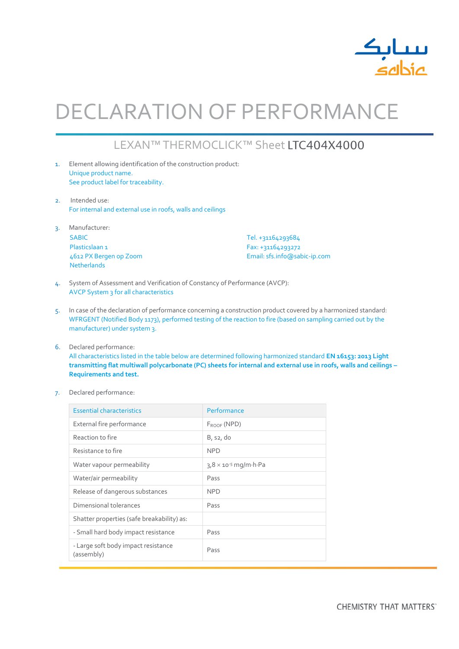

# DECLARATION OF PERFORMANCE

## LEXAN™ THERMOCLICK™ Sheet LTC404X4000

- 1. Element allowing identification of the construction product: Unique product name. See product label for traceability.
- 2. Intended use: For internal and external use in roofs, walls and ceilings
- 3. Manufacturer: SABIC Plasticslaan 1 4612 PX Bergen op Zoom Netherlands

Tel. +31164293684 Fax: +31164293272 Email: sfs.info@sabic-ip.com

- 4. System of Assessment and Verification of Constancy of Performance (AVCP): AVCP System 3 for all characteristics
- 5. In case of the declaration of performance concerning a construction product covered by a harmonized standard: WFRGENT (Notified Body 1173), performed testing of the reaction to fire (based on sampling carried out by the manufacturer) under system 3.
- 6. Declared performance: All characteristics listed in the table below are determined following harmonized standard **EN 16153: 2013 Light transmitting flat multiwall polycarbonate (PC) sheets for internal and external use in roofs, walls and ceilings – Requirements and test.**
- 7. Declared performance:

| <b>Essential characteristics</b>                  | Performance                                    |  |  |
|---------------------------------------------------|------------------------------------------------|--|--|
| External fire performance                         | $F_{ROOF}$ (NPD)                               |  |  |
| Reaction to fire                                  | B, s2, do                                      |  |  |
| Resistance to fire                                | <b>NPD</b>                                     |  |  |
| Water vapour permeability                         | $3.8 \times 10^{-5}$ mg/m $\cdot$ h $\cdot$ Pa |  |  |
| Water/air permeability                            | Pass                                           |  |  |
| Release of dangerous substances                   | <b>NPD</b>                                     |  |  |
| Dimensional tolerances                            | Pass                                           |  |  |
| Shatter properties (safe breakability) as:        |                                                |  |  |
| - Small hard body impact resistance               | Pass                                           |  |  |
| - Large soft body impact resistance<br>(assembly) | Pass                                           |  |  |